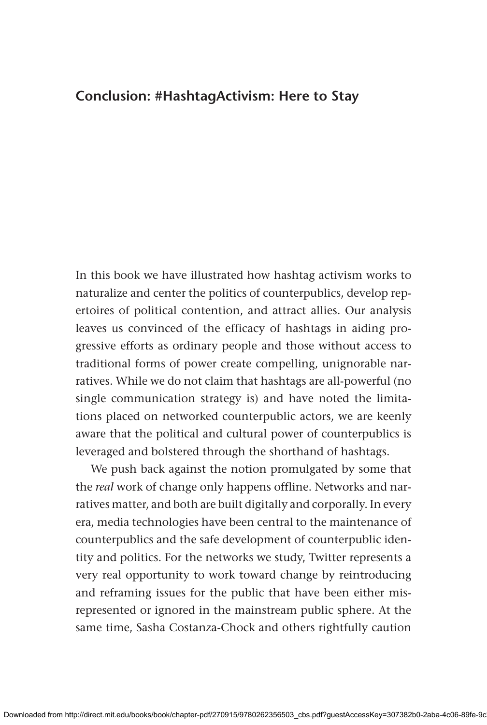# **Conclusion: #HashtagActivism: Here to Stay**

In this book we have illustrated how hashtag activism works to naturalize and center the politics of counterpublics, develop repertoires of political contention, and attract allies. Our analysis leaves us convinced of the efficacy of hashtags in aiding progressive efforts as ordinary people and those without access to traditional forms of power create compelling, unignorable narratives. While we do not claim that hashtags are all-powerful (no single communication strategy is) and have noted the limitations placed on networked counterpublic actors, we are keenly aware that the political and cultural power of counterpublics is leveraged and bolstered through the shorthand of hashtags.

We push back against the notion promulgated by some that the *real* work of change only happens offline. Networks and narratives matter, and both are built digitally and corporally. In every era, media technologies have been central to the maintenance of counterpublics and the safe development of counterpublic identity and politics. For the networks we study, Twitter represents a very real opportunity to work toward change by reintroducing and reframing issues for the public that have been either misrepresented or ignored in the mainstream public sphere. At the same time, Sasha Costanza-Chock and others rightfully caution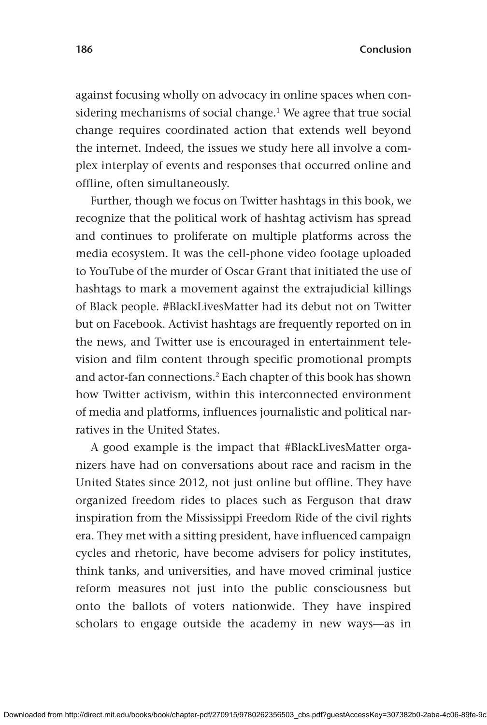against focusing wholly on advocacy in online spaces when considering mechanisms of social change.<sup>1</sup> We agree that true social change requires coordinated action that extends well beyond the internet. Indeed, the issues we study here all involve a complex interplay of events and responses that occurred online and offline, often simultaneously.

Further, though we focus on Twitter hashtags in this book, we recognize that the political work of hashtag activism has spread and continues to proliferate on multiple platforms across the media ecosystem. It was the cell-phone video footage uploaded to YouTube of the murder of Oscar Grant that initiated the use of hashtags to mark a movement against the extrajudicial killings of Black people. #BlackLivesMatter had its debut not on Twitter but on Facebook. Activist hashtags are frequently reported on in the news, and Twitter use is encouraged in entertainment television and film content through specific promotional prompts and actor-fan connections.2 Each chapter of this book has shown how Twitter activism, within this interconnected environment of media and platforms, influences journalistic and political narratives in the United States.

A good example is the impact that #BlackLivesMatter organizers have had on conversations about race and racism in the United States since 2012, not just online but offline. They have organized freedom rides to places such as Ferguson that draw inspiration from the Mississippi Freedom Ride of the civil rights era. They met with a sitting president, have influenced campaign cycles and rhetoric, have become advisers for policy institutes, think tanks, and universities, and have moved criminal justice reform measures not just into the public consciousness but onto the ballots of voters nationwide. They have inspired scholars to engage outside the academy in new ways—as in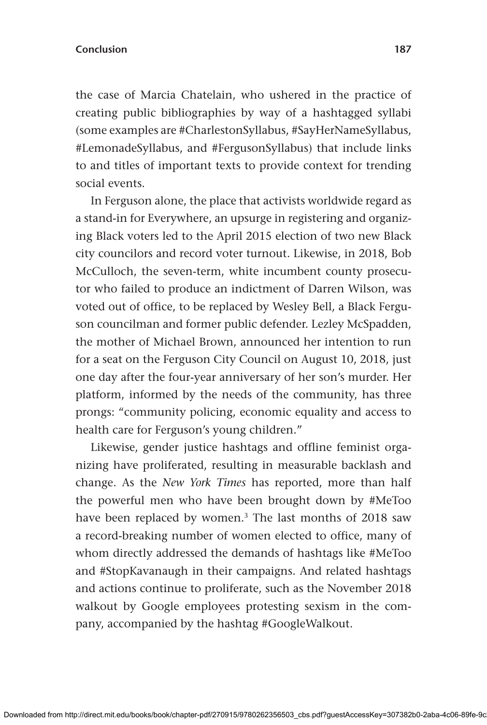the case of Marcia Chatelain, who ushered in the practice of creating public bibliographies by way of a hashtagged syllabi (some examples are #CharlestonSyllabus, #SayHerNameSyllabus, #LemonadeSyllabus, and #FergusonSyllabus) that include links to and titles of important texts to provide context for trending social events.

In Ferguson alone, the place that activists worldwide regard as a stand-in for Everywhere, an upsurge in registering and organizing Black voters led to the April 2015 election of two new Black city councilors and record voter turnout. Likewise, in 2018, Bob McCulloch, the seven-term, white incumbent county prosecutor who failed to produce an indictment of Darren Wilson, was voted out of office, to be replaced by Wesley Bell, a Black Ferguson councilman and former public defender. Lezley McSpadden, the mother of Michael Brown, announced her intention to run for a seat on the Ferguson City Council on August 10, 2018, just one day after the four-year anniversary of her son's murder. Her platform, informed by the needs of the community, has three prongs: "community policing, economic equality and access to health care for Ferguson's young children."

Likewise, gender justice hashtags and offline feminist organizing have proliferated, resulting in measurable backlash and change. As the *New York Times* has reported, more than half the powerful men who have been brought down by #MeToo have been replaced by women.<sup>3</sup> The last months of 2018 saw a record-breaking number of women elected to office, many of whom directly addressed the demands of hashtags like #MeToo and #StopKavanaugh in their campaigns. And related hashtags and actions continue to proliferate, such as the November 2018 walkout by Google employees protesting sexism in the company, accompanied by the hashtag #GoogleWalkout.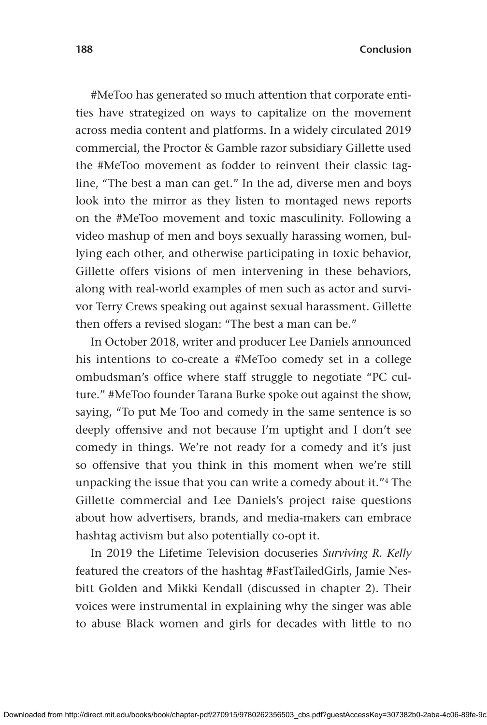#MeToo has generated so much attention that corporate entities have strategized on ways to capitalize on the movement across media content and platforms. In a widely circulated 2019 commercial, the Proctor & Gamble razor subsidiary Gillette used the #MeToo movement as fodder to reinvent their classic tagline, "The best a man can get." In the ad, diverse men and boys look into the mirror as they listen to montaged news reports on the #MeToo movement and toxic masculinity. Following a video mashup of men and boys sexually harassing women, bullying each other, and otherwise participating in toxic behavior, Gillette offers visions of men intervening in these behaviors, along with real-world examples of men such as actor and survivor Terry Crews speaking out against sexual harassment. Gillette then offers a revised slogan: "The best a man can be."

In October 2018, writer and producer Lee Daniels announced his intentions to co-create a #MeToo comedy set in a college ombudsman's office where staff struggle to negotiate "PC culture." #MeToo founder Tarana Burke spoke out against the show, saying, "To put Me Too and comedy in the same sentence is so deeply offensive and not because I'm uptight and I don't see comedy in things. We're not ready for a comedy and it's just so offensive that you think in this moment when we're still unpacking the issue that you can write a comedy about it."4 The Gillette commercial and Lee Daniels's project raise questions about how advertisers, brands, and media-makers can embrace hashtag activism but also potentially co-opt it.

In 2019 the Lifetime Television docuseries *Surviving R. Kelly* featured the creators of the hashtag #FastTailedGirls, Jamie Nesbitt Golden and Mikki Kendall (discussed in chapter 2). Their voices were instrumental in explaining why the singer was able to abuse Black women and girls for decades with little to no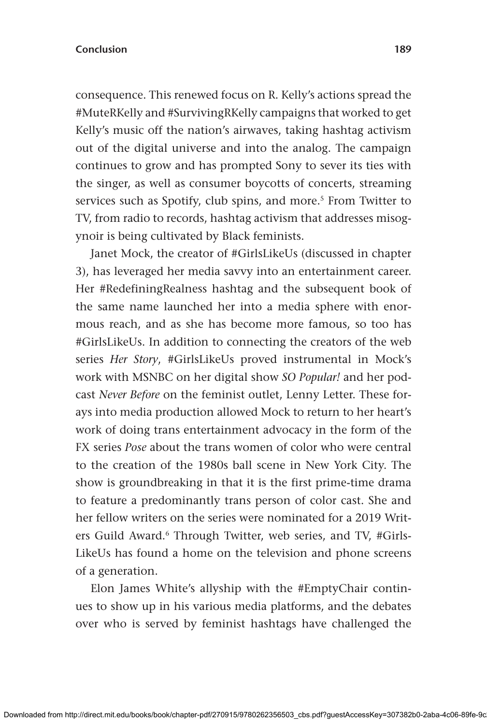consequence. This renewed focus on R. Kelly's actions spread the #MuteRKelly and #SurvivingRKelly campaigns that worked to get Kelly's music off the nation's airwaves, taking hashtag activism out of the digital universe and into the analog. The campaign continues to grow and has prompted Sony to sever its ties with the singer, as well as consumer boycotts of concerts, streaming services such as Spotify, club spins, and more.<sup>5</sup> From Twitter to TV, from radio to records, hashtag activism that addresses misogynoir is being cultivated by Black feminists.

Janet Mock, the creator of #GirlsLikeUs (discussed in chapter 3), has leveraged her media savvy into an entertainment career. Her #RedefiningRealness hashtag and the subsequent book of the same name launched her into a media sphere with enormous reach, and as she has become more famous, so too has #GirlsLikeUs. In addition to connecting the creators of the web series *Her Story*, #GirlsLikeUs proved instrumental in Mock's work with MSNBC on her digital show *SO Popular!* and her podcast *Never Before* on the feminist outlet, Lenny Letter. These forays into media production allowed Mock to return to her heart's work of doing trans entertainment advocacy in the form of the FX series *Pose* about the trans women of color who were central to the creation of the 1980s ball scene in New York City. The show is groundbreaking in that it is the first prime-time drama to feature a predominantly trans person of color cast. She and her fellow writers on the series were nominated for a 2019 Writers Guild Award.<sup>6</sup> Through Twitter, web series, and TV, #Girls-LikeUs has found a home on the television and phone screens of a generation.

Elon James White's allyship with the #EmptyChair continues to show up in his various media platforms, and the debates over who is served by feminist hashtags have challenged the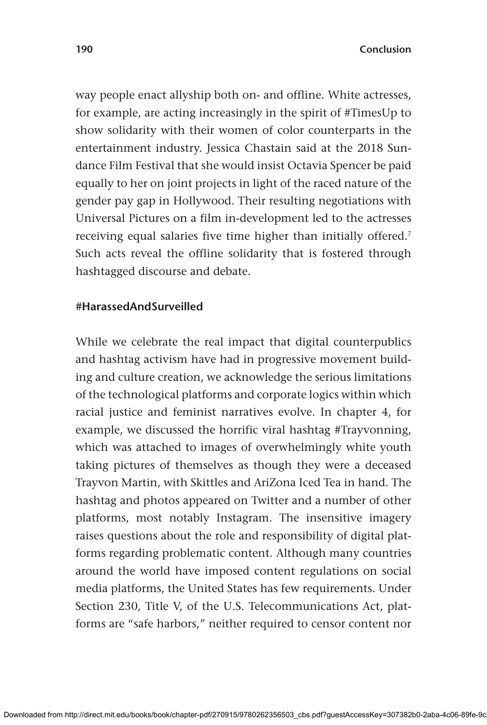way people enact allyship both on- and offline. White actresses, for example, are acting increasingly in the spirit of #TimesUp to show solidarity with their women of color counterparts in the entertainment industry. Jessica Chastain said at the 2018 Sundance Film Festival that she would insist Octavia Spencer be paid equally to her on joint projects in light of the raced nature of the gender pay gap in Hollywood. Their resulting negotiations with Universal Pictures on a film in-development led to the actresses receiving equal salaries five time higher than initially offered.<sup>7</sup> Such acts reveal the offline solidarity that is fostered through hashtagged discourse and debate.

## **#HarassedAndSurveilled**

While we celebrate the real impact that digital counterpublics and hashtag activism have had in progressive movement building and culture creation, we acknowledge the serious limitations of the technological platforms and corporate logics within which racial justice and feminist narratives evolve. In chapter 4, for example, we discussed the horrific viral hashtag #Trayvonning, which was attached to images of overwhelmingly white youth taking pictures of themselves as though they were a deceased Trayvon Martin, with Skittles and AriZona Iced Tea in hand. The hashtag and photos appeared on Twitter and a number of other platforms, most notably Instagram. The insensitive imagery raises questions about the role and responsibility of digital platforms regarding problematic content. Although many countries around the world have imposed content regulations on social media platforms, the United States has few requirements. Under Section 230, Title V, of the U.S. Telecommunications Act, platforms are "safe harbors," neither required to censor content nor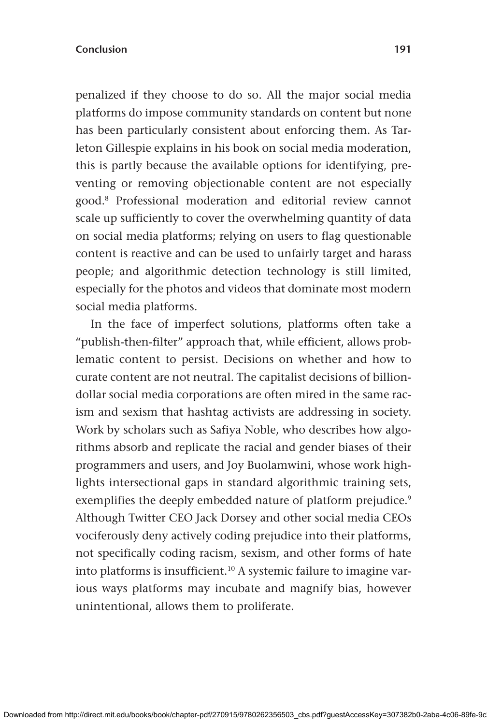penalized if they choose to do so. All the major social media platforms do impose community standards on content but none has been particularly consistent about enforcing them. As Tarleton Gillespie explains in his book on social media moderation, this is partly because the available options for identifying, preventing or removing objectionable content are not especially good.8 Professional moderation and editorial review cannot scale up sufficiently to cover the overwhelming quantity of data on social media platforms; relying on users to flag questionable content is reactive and can be used to unfairly target and harass people; and algorithmic detection technology is still limited, especially for the photos and videos that dominate most modern social media platforms.

In the face of imperfect solutions, platforms often take a "publish-then-filter" approach that, while efficient, allows problematic content to persist. Decisions on whether and how to curate content are not neutral. The capitalist decisions of billiondollar social media corporations are often mired in the same racism and sexism that hashtag activists are addressing in society. Work by scholars such as Safiya Noble, who describes how algorithms absorb and replicate the racial and gender biases of their programmers and users, and Joy Buolamwini, whose work highlights intersectional gaps in standard algorithmic training sets, exemplifies the deeply embedded nature of platform prejudice.<sup>9</sup> Although Twitter CEO Jack Dorsey and other social media CEOs vociferously deny actively coding prejudice into their platforms, not specifically coding racism, sexism, and other forms of hate into platforms is insufficient.10 A systemic failure to imagine various ways platforms may incubate and magnify bias, however unintentional, allows them to proliferate.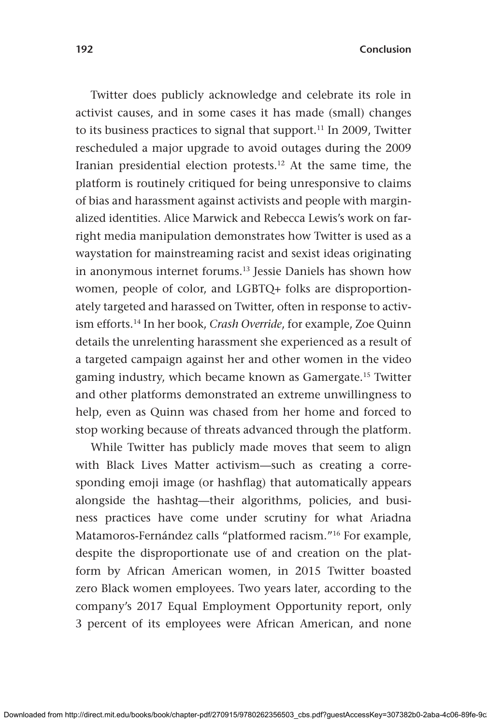Twitter does publicly acknowledge and celebrate its role in activist causes, and in some cases it has made (small) changes to its business practices to signal that support.<sup>11</sup> In 2009, Twitter rescheduled a major upgrade to avoid outages during the 2009 Iranian presidential election protests.12 At the same time, the platform is routinely critiqued for being unresponsive to claims of bias and harassment against activists and people with marginalized identities. Alice Marwick and Rebecca Lewis's work on farright media manipulation demonstrates how Twitter is used as a waystation for mainstreaming racist and sexist ideas originating in anonymous internet forums.13 Jessie Daniels has shown how women, people of color, and LGBTQ+ folks are disproportionately targeted and harassed on Twitter, often in response to activism efforts.14 In her book, *Crash Override*, for example, Zoe Quinn details the unrelenting harassment she experienced as a result of a targeted campaign against her and other women in the video gaming industry, which became known as Gamergate.15 Twitter and other platforms demonstrated an extreme unwillingness to help, even as Quinn was chased from her home and forced to stop working because of threats advanced through the platform.

While Twitter has publicly made moves that seem to align with Black Lives Matter activism—such as creating a corresponding emoji image (or hashflag) that automatically appears alongside the hashtag—their algorithms, policies, and business practices have come under scrutiny for what Ariadna Matamoros-Fernández calls "platformed racism."16 For example, despite the disproportionate use of and creation on the platform by African American women, in 2015 Twitter boasted zero Black women employees. Two years later, according to the company's 2017 Equal Employment Opportunity report, only 3 percent of its employees were African American, and none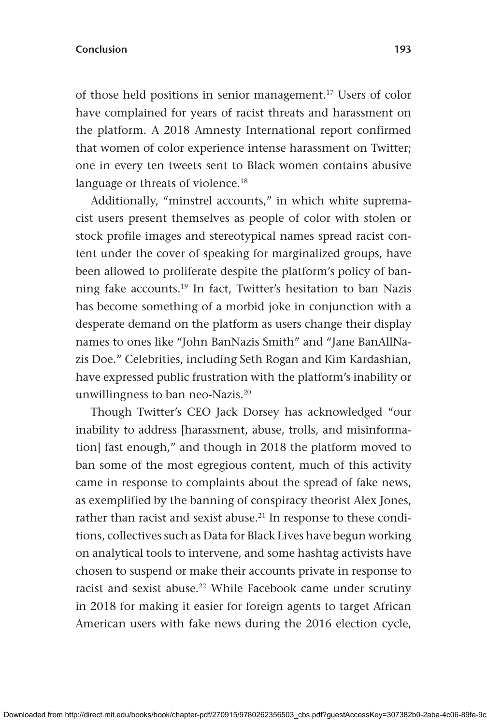of those held positions in senior management.17 Users of color have complained for years of racist threats and harassment on the platform. A 2018 Amnesty International report confirmed that women of color experience intense harassment on Twitter; one in every ten tweets sent to Black women contains abusive language or threats of violence.<sup>18</sup>

Additionally, "minstrel accounts," in which white supremacist users present themselves as people of color with stolen or stock profile images and stereotypical names spread racist content under the cover of speaking for marginalized groups, have been allowed to proliferate despite the platform's policy of banning fake accounts.19 In fact, Twitter's hesitation to ban Nazis has become something of a morbid joke in conjunction with a desperate demand on the platform as users change their display names to ones like "John BanNazis Smith" and "Jane BanAllNazis Doe." Celebrities, including Seth Rogan and Kim Kardashian, have expressed public frustration with the platform's inability or unwillingness to ban neo-Nazis.20

Though Twitter's CEO Jack Dorsey has acknowledged "our inability to address [harassment, abuse, trolls, and misinformation] fast enough," and though in 2018 the platform moved to ban some of the most egregious content, much of this activity came in response to complaints about the spread of fake news, as exemplified by the banning of conspiracy theorist Alex Jones, rather than racist and sexist abuse.<sup>21</sup> In response to these conditions, collectives such as Data for Black Lives have begun working on analytical tools to intervene, and some hashtag activists have chosen to suspend or make their accounts private in response to racist and sexist abuse.22 While Facebook came under scrutiny in 2018 for making it easier for foreign agents to target African American users with fake news during the 2016 election cycle,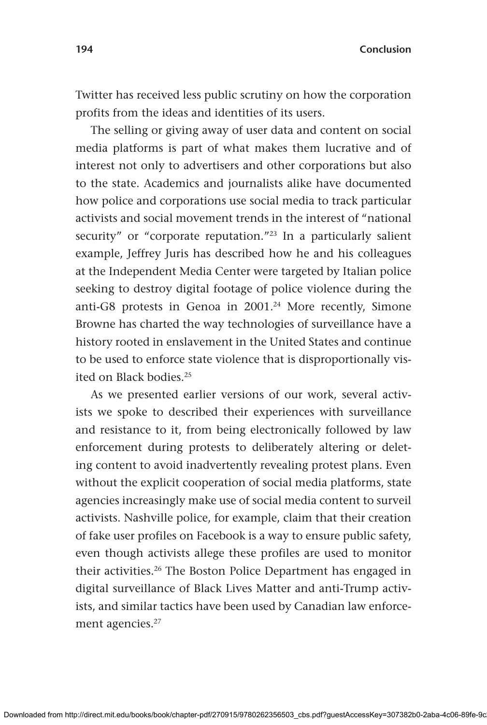Twitter has received less public scrutiny on how the corporation profits from the ideas and identities of its users.

The selling or giving away of user data and content on social media platforms is part of what makes them lucrative and of interest not only to advertisers and other corporations but also to the state. Academics and journalists alike have documented how police and corporations use social media to track particular activists and social movement trends in the interest of "national security" or "corporate reputation."<sup>23</sup> In a particularly salient example, Jeffrey Juris has described how he and his colleagues at the Independent Media Center were targeted by Italian police seeking to destroy digital footage of police violence during the anti-G8 protests in Genoa in 2001.<sup>24</sup> More recently, Simone Browne has charted the way technologies of surveillance have a history rooted in enslavement in the United States and continue to be used to enforce state violence that is disproportionally visited on Black bodies.25

As we presented earlier versions of our work, several activists we spoke to described their experiences with surveillance and resistance to it, from being electronically followed by law enforcement during protests to deliberately altering or deleting content to avoid inadvertently revealing protest plans. Even without the explicit cooperation of social media platforms, state agencies increasingly make use of social media content to surveil activists. Nashville police, for example, claim that their creation of fake user profiles on Facebook is a way to ensure public safety, even though activists allege these profiles are used to monitor their activities.26 The Boston Police Department has engaged in digital surveillance of Black Lives Matter and anti-Trump activists, and similar tactics have been used by Canadian law enforcement agencies.<sup>27</sup>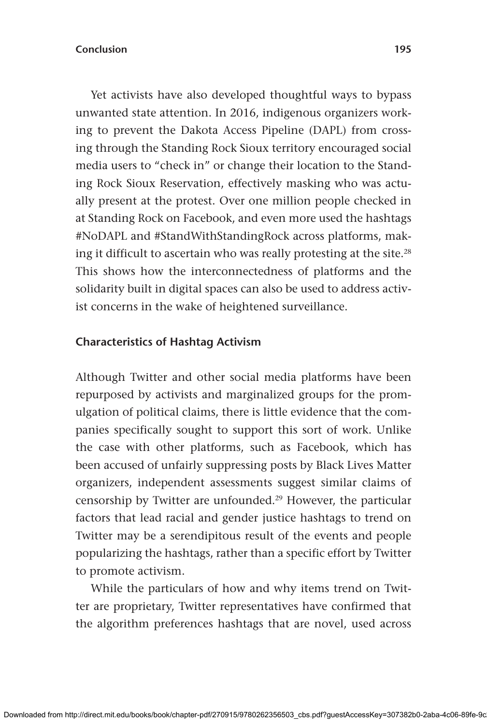Yet activists have also developed thoughtful ways to bypass unwanted state attention. In 2016, indigenous organizers working to prevent the Dakota Access Pipeline (DAPL) from crossing through the Standing Rock Sioux territory encouraged social media users to "check in" or change their location to the Standing Rock Sioux Reservation, effectively masking who was actually present at the protest. Over one million people checked in at Standing Rock on Facebook, and even more used the hashtags #NoDAPL and #StandWithStandingRock across platforms, making it difficult to ascertain who was really protesting at the site.28 This shows how the interconnectedness of platforms and the solidarity built in digital spaces can also be used to address activist concerns in the wake of heightened surveillance.

### **Characteristics of Hashtag Activism**

Although Twitter and other social media platforms have been repurposed by activists and marginalized groups for the promulgation of political claims, there is little evidence that the companies specifically sought to support this sort of work. Unlike the case with other platforms, such as Facebook, which has been accused of unfairly suppressing posts by Black Lives Matter organizers, independent assessments suggest similar claims of censorship by Twitter are unfounded.29 However, the particular factors that lead racial and gender justice hashtags to trend on Twitter may be a serendipitous result of the events and people popularizing the hashtags, rather than a specific effort by Twitter to promote activism.

While the particulars of how and why items trend on Twitter are proprietary, Twitter representatives have confirmed that the algorithm preferences hashtags that are novel, used across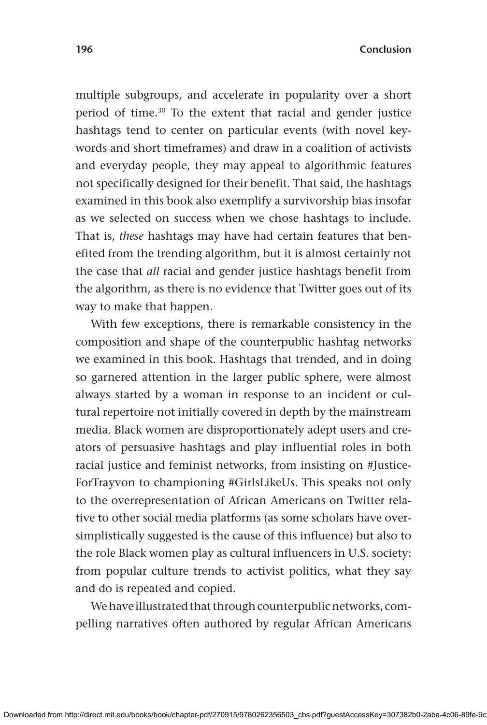multiple subgroups, and accelerate in popularity over a short period of time.30 To the extent that racial and gender justice hashtags tend to center on particular events (with novel keywords and short timeframes) and draw in a coalition of activists and everyday people, they may appeal to algorithmic features not specifically designed for their benefit. That said, the hashtags examined in this book also exemplify a survivorship bias insofar as we selected on success when we chose hashtags to include. That is, *these* hashtags may have had certain features that benefited from the trending algorithm, but it is almost certainly not the case that *all* racial and gender justice hashtags benefit from the algorithm, as there is no evidence that Twitter goes out of its way to make that happen.

With few exceptions, there is remarkable consistency in the composition and shape of the counterpublic hashtag networks we examined in this book. Hashtags that trended, and in doing so garnered attention in the larger public sphere, were almost always started by a woman in response to an incident or cultural repertoire not initially covered in depth by the mainstream media. Black women are disproportionately adept users and creators of persuasive hashtags and play influential roles in both racial justice and feminist networks, from insisting on #Justice-ForTrayvon to championing #GirlsLikeUs. This speaks not only to the overrepresentation of African Americans on Twitter relative to other social media platforms (as some scholars have oversimplistically suggested is the cause of this influence) but also to the role Black women play as cultural influencers in U.S. society: from popular culture trends to activist politics, what they say and do is repeated and copied.

We have illustrated that through counterpublic networks, compelling narratives often authored by regular African Americans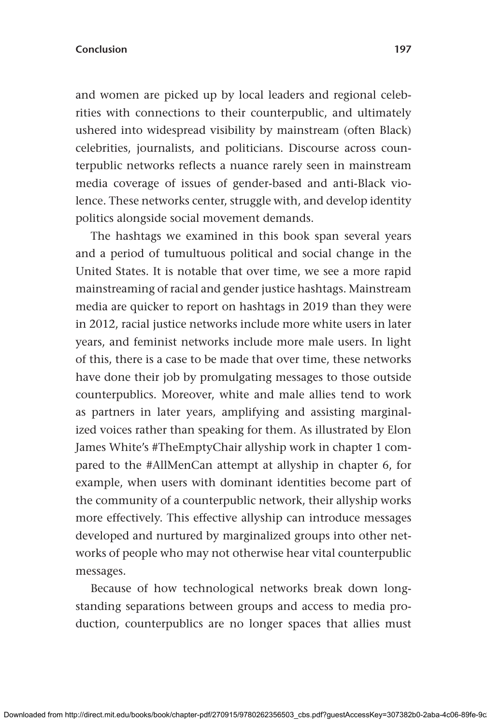and women are picked up by local leaders and regional celebrities with connections to their counterpublic, and ultimately ushered into widespread visibility by mainstream (often Black) celebrities, journalists, and politicians. Discourse across counterpublic networks reflects a nuance rarely seen in mainstream media coverage of issues of gender-based and anti-Black violence. These networks center, struggle with, and develop identity politics alongside social movement demands.

The hashtags we examined in this book span several years and a period of tumultuous political and social change in the United States. It is notable that over time, we see a more rapid mainstreaming of racial and gender justice hashtags. Mainstream media are quicker to report on hashtags in 2019 than they were in 2012, racial justice networks include more white users in later years, and feminist networks include more male users. In light of this, there is a case to be made that over time, these networks have done their job by promulgating messages to those outside counterpublics. Moreover, white and male allies tend to work as partners in later years, amplifying and assisting marginalized voices rather than speaking for them. As illustrated by Elon James White's #TheEmptyChair allyship work in chapter 1 compared to the #AllMenCan attempt at allyship in chapter 6, for example, when users with dominant identities become part of the community of a counterpublic network, their allyship works more effectively. This effective allyship can introduce messages developed and nurtured by marginalized groups into other networks of people who may not otherwise hear vital counterpublic messages.

Because of how technological networks break down longstanding separations between groups and access to media production, counterpublics are no longer spaces that allies must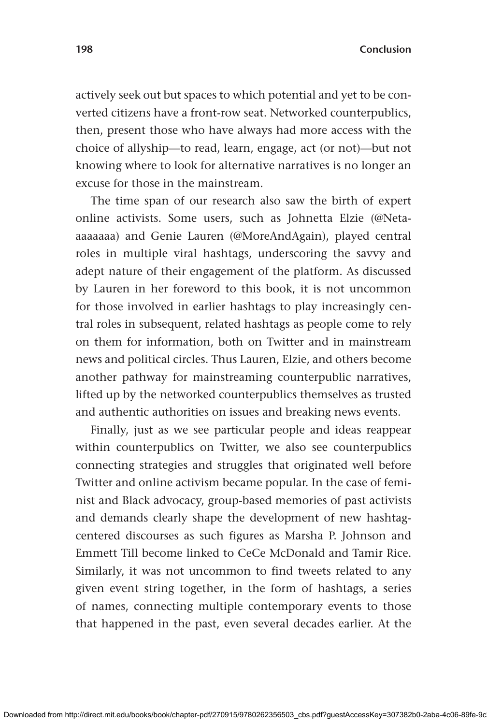actively seek out but spaces to which potential and yet to be converted citizens have a front-row seat. Networked counterpublics, then, present those who have always had more access with the choice of allyship—to read, learn, engage, act (or not)—but not knowing where to look for alternative narratives is no longer an excuse for those in the mainstream.

The time span of our research also saw the birth of expert online activists. Some users, such as Johnetta Elzie (@Netaaaaaaaa) and Genie Lauren (@MoreAndAgain), played central roles in multiple viral hashtags, underscoring the savvy and adept nature of their engagement of the platform. As discussed by Lauren in her foreword to this book, it is not uncommon for those involved in earlier hashtags to play increasingly central roles in subsequent, related hashtags as people come to rely on them for information, both on Twitter and in mainstream news and political circles. Thus Lauren, Elzie, and others become another pathway for mainstreaming counterpublic narratives, lifted up by the networked counterpublics themselves as trusted and authentic authorities on issues and breaking news events.

Finally, just as we see particular people and ideas reappear within counterpublics on Twitter, we also see counterpublics connecting strategies and struggles that originated well before Twitter and online activism became popular. In the case of feminist and Black advocacy, group-based memories of past activists and demands clearly shape the development of new hashtagcentered discourses as such figures as Marsha P. Johnson and Emmett Till become linked to CeCe McDonald and Tamir Rice. Similarly, it was not uncommon to find tweets related to any given event string together, in the form of hashtags, a series of names, connecting multiple contemporary events to those that happened in the past, even several decades earlier. At the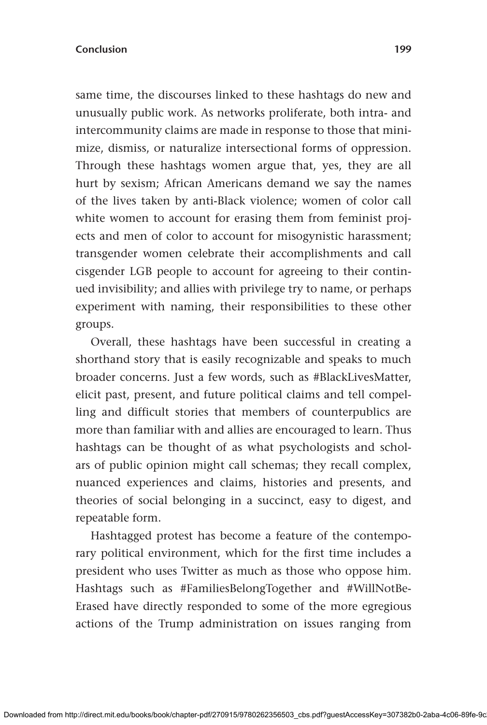same time, the discourses linked to these hashtags do new and unusually public work. As networks proliferate, both intra- and intercommunity claims are made in response to those that minimize, dismiss, or naturalize intersectional forms of oppression. Through these hashtags women argue that, yes, they are all hurt by sexism; African Americans demand we say the names of the lives taken by anti-Black violence; women of color call white women to account for erasing them from feminist projects and men of color to account for misogynistic harassment; transgender women celebrate their accomplishments and call cisgender LGB people to account for agreeing to their continued invisibility; and allies with privilege try to name, or perhaps experiment with naming, their responsibilities to these other groups.

Overall, these hashtags have been successful in creating a shorthand story that is easily recognizable and speaks to much broader concerns. Just a few words, such as #BlackLivesMatter, elicit past, present, and future political claims and tell compelling and difficult stories that members of counterpublics are more than familiar with and allies are encouraged to learn. Thus hashtags can be thought of as what psychologists and scholars of public opinion might call schemas; they recall complex, nuanced experiences and claims, histories and presents, and theories of social belonging in a succinct, easy to digest, and repeatable form.

Hashtagged protest has become a feature of the contemporary political environment, which for the first time includes a president who uses Twitter as much as those who oppose him. Hashtags such as #FamiliesBelongTogether and #WillNotBe-Erased have directly responded to some of the more egregious actions of the Trump administration on issues ranging from